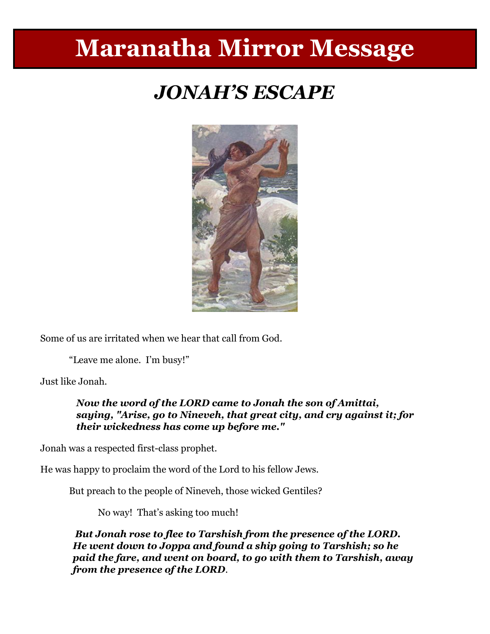# **Maranatha Mirror Message**

# *JONAH'S ESCAPE*



Some of us are irritated when we hear that call from God.

"Leave me alone. I'm busy!"

Just like Jonah.

*Now the word of the LORD came to Jonah the son of Amittai, saying, "Arise, go to Nineveh, that great city, and cry against it; for their wickedness has come up before me."*

Jonah was a respected first-class prophet.

He was happy to proclaim the word of the Lord to his fellow Jews.

But preach to the people of Nineveh, those wicked Gentiles?

No way! That's asking too much!

*But Jonah rose to flee to Tarshish from the presence of the LORD. He went down to Joppa and found a ship going to Tarshish; so he paid the fare, and went on board, to go with them to Tarshish, away from the presence of the LORD.*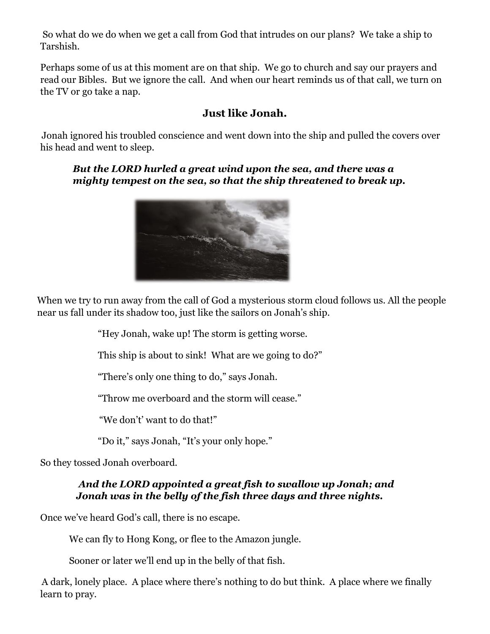So what do we do when we get a call from God that intrudes on our plans? We take a ship to Tarshish.

Perhaps some of us at this moment are on that ship. We go to church and say our prayers and read our Bibles. But we ignore the call. And when our heart reminds us of that call, we turn on the TV or go take a nap.

#### **Just like Jonah.**

Jonah ignored his troubled conscience and went down into the ship and pulled the covers over his head and went to sleep.

#### *But the LORD hurled a great wind upon the sea, and there was a mighty tempest on the sea, so that the ship threatened to break up.*



When we try to run away from the call of God a mysterious storm cloud follows us. All the people near us fall under its shadow too, just like the sailors on Jonah's ship.

"Hey Jonah, wake up! The storm is getting worse.

This ship is about to sink! What are we going to do?"

"There's only one thing to do," says Jonah.

"Throw me overboard and the storm will cease."

"We don't' want to do that!"

"Do it," says Jonah, "It's your only hope."

So they tossed Jonah overboard.

#### *And the LORD appointed a great fish to swallow up Jonah; and Jonah was in the belly of the fish three days and three nights.*

Once we've heard God's call, there is no escape.

We can fly to Hong Kong, or flee to the Amazon jungle.

Sooner or later we'll end up in the belly of that fish.

A dark, lonely place. A place where there's nothing to do but think. A place where we finally learn to pray.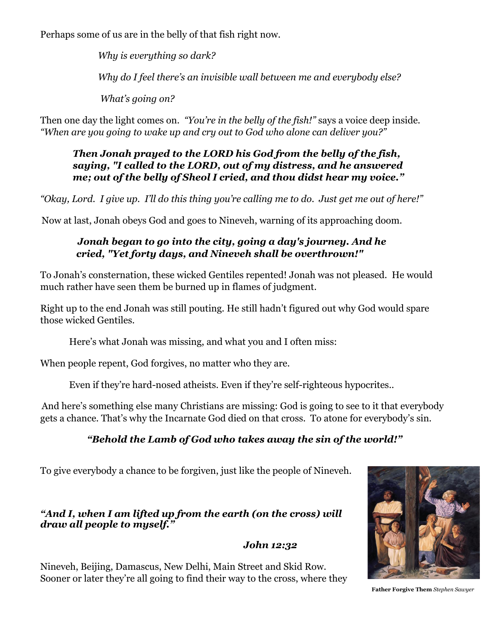Perhaps some of us are in the belly of that fish right now.

*Why is everything so dark? Why do I feel there's an invisible wall between me and everybody else? What's going on?*

Then one day the light comes on. *"You're in the belly of the fish!"* says a voice deep inside. *"When are you going to wake up and cry out to God who alone can deliver you?"* 

#### *Then Jonah prayed to the LORD his God from the belly of the fish, saying, "I called to the LORD, out of my distress, and he answered me; out of the belly of Sheol I cried, and thou didst hear my voice."*

*"Okay, Lord. I give up. I'll do this thing you're calling me to do. Just get me out of here!"*

Now at last, Jonah obeys God and goes to Nineveh, warning of its approaching doom.

#### *Jonah began to go into the city, going a day's journey. And he cried, "Yet forty days, and Nineveh shall be overthrown!"*

To Jonah's consternation, these wicked Gentiles repented! Jonah was not pleased. He would much rather have seen them be burned up in flames of judgment.

Right up to the end Jonah was still pouting. He still hadn't figured out why God would spare those wicked Gentiles.

Here's what Jonah was missing, and what you and I often miss:

When people repent, God forgives, no matter who they are.

Even if they're hard-nosed atheists. Even if they're self-righteous hypocrites..

And here's something else many Christians are missing: God is going to see to it that everybody gets a chance. That's why the Incarnate God died on that cross. To atone for everybody's sin.

### *"Behold the Lamb of God who takes away the sin of the world!"*

To give everybody a chance to be forgiven, just like the people of Nineveh.

#### *"And I, when I am lifted up from the earth (on the cross) will draw all people to myself."*

 *John 12:32*

Nineveh, Beijing, Damascus, New Delhi, Main Street and Skid Row. Sooner or later they're all going to find their way to the cross, where they



**Father Forgive Them** *Stephen Sawyer*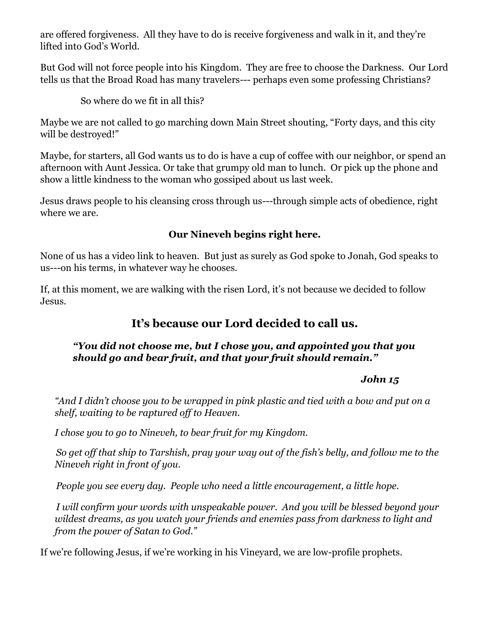are offered forgiveness. All they have to do is receive forgiveness and walk in it, and they're lifted into God's World.

But God will not force people into his Kingdom. They are free to choose the Darkness. Our Lord tells us that the Broad Road has many travelers--- perhaps even some professing Christians?

So where do we fit in all this?

Maybe we are not called to go marching down Main Street shouting, "Forty days, and this city will be destroyed!"

Maybe, for starters, all God wants us to do is have a cup of coffee with our neighbor, or spend an afternoon with Aunt Jessica. Or take that grumpy old man to lunch. Or pick up the phone and show a little kindness to the woman who gossiped about us last week.

Jesus draws people to his cleansing cross through us---through simple acts of obedience, right where we are.

#### **Our Nineveh begins right here.**

None of us has a video link to heaven. But just as surely as God spoke to Jonah, God speaks to us---on his terms, in whatever way he chooses.

If, at this moment, we are walking with the risen Lord, it's not because we decided to follow Jesus.

## **It's because our Lord decided to call us.**

#### *"You did not choose me, but I chose you, and appointed you that you should go and bear fruit, and that your fruit should remain."*

#### *John 15*

*"And I didn't choose you to be wrapped in pink plastic and tied with a bow and put on a shelf, waiting to be raptured off to Heaven.* 

*I chose you to go to Nineveh, to bear fruit for my Kingdom.*

*So get off that ship to Tarshish, pray your way out of the fish's belly, and follow me to the Nineveh right in front of you.*

*People you see every day. People who need a little encouragement, a little hope.* 

*I will confirm your words with unspeakable power. And you will be blessed beyond your wildest dreams, as you watch your friends and enemies pass from darkness to light and from the power of Satan to God."*

If we're following Jesus, if we're working in his Vineyard, we are low-profile prophets.